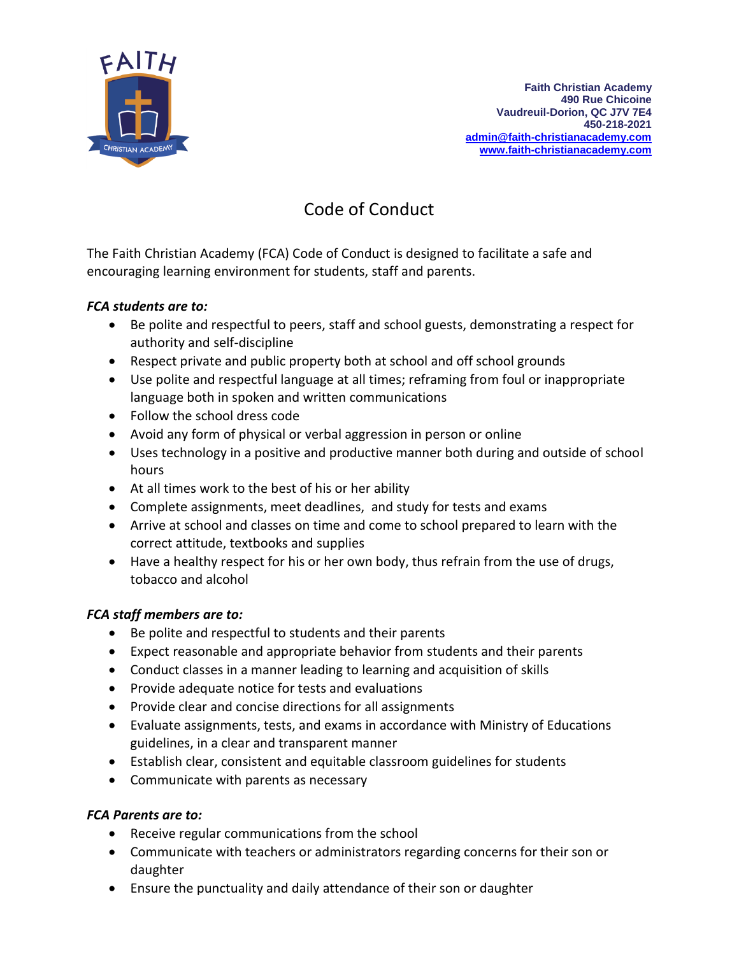

# Code of Conduct

The Faith Christian Academy (FCA) Code of Conduct is designed to facilitate a safe and encouraging learning environment for students, staff and parents.

#### *FCA students are to:*

- Be polite and respectful to peers, staff and school guests, demonstrating a respect for authority and self-discipline
- Respect private and public property both at school and off school grounds
- Use polite and respectful language at all times; reframing from foul or inappropriate language both in spoken and written communications
- Follow the school dress code
- Avoid any form of physical or verbal aggression in person or online
- Uses technology in a positive and productive manner both during and outside of school hours
- At all times work to the best of his or her ability
- Complete assignments, meet deadlines, and study for tests and exams
- Arrive at school and classes on time and come to school prepared to learn with the correct attitude, textbooks and supplies
- Have a healthy respect for his or her own body, thus refrain from the use of drugs, tobacco and alcohol

#### *FCA staff members are to:*

- Be polite and respectful to students and their parents
- Expect reasonable and appropriate behavior from students and their parents
- Conduct classes in a manner leading to learning and acquisition of skills
- Provide adequate notice for tests and evaluations
- Provide clear and concise directions for all assignments
- Evaluate assignments, tests, and exams in accordance with Ministry of Educations guidelines, in a clear and transparent manner
- Establish clear, consistent and equitable classroom guidelines for students
- Communicate with parents as necessary

#### *FCA Parents are to:*

- Receive regular communications from the school
- Communicate with teachers or administrators regarding concerns for their son or daughter
- Ensure the punctuality and daily attendance of their son or daughter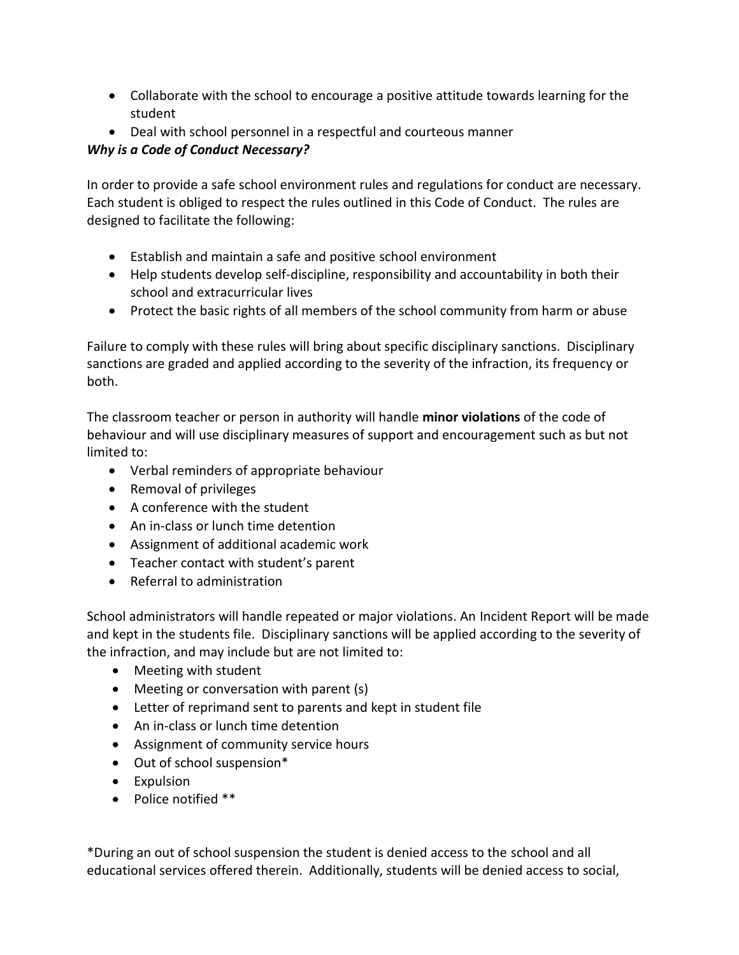- Collaborate with the school to encourage a positive attitude towards learning for the student
- Deal with school personnel in a respectful and courteous manner

## *Why is a Code of Conduct Necessary?*

In order to provide a safe school environment rules and regulations for conduct are necessary. Each student is obliged to respect the rules outlined in this Code of Conduct. The rules are designed to facilitate the following:

- Establish and maintain a safe and positive school environment
- Help students develop self-discipline, responsibility and accountability in both their school and extracurricular lives
- Protect the basic rights of all members of the school community from harm or abuse

Failure to comply with these rules will bring about specific disciplinary sanctions. Disciplinary sanctions are graded and applied according to the severity of the infraction, its frequency or both.

The classroom teacher or person in authority will handle **minor violations** of the code of behaviour and will use disciplinary measures of support and encouragement such as but not limited to:

- Verbal reminders of appropriate behaviour
- Removal of privileges
- A conference with the student
- An in-class or lunch time detention
- Assignment of additional academic work
- Teacher contact with student's parent
- Referral to administration

School administrators will handle repeated or major violations. An Incident Report will be made and kept in the students file. Disciplinary sanctions will be applied according to the severity of the infraction, and may include but are not limited to:

- Meeting with student
- Meeting or conversation with parent (s)
- Letter of reprimand sent to parents and kept in student file
- An in-class or lunch time detention
- Assignment of community service hours
- Out of school suspension\*
- Expulsion
- Police notified \*\*

\*During an out of school suspension the student is denied access to the school and all educational services offered therein. Additionally, students will be denied access to social,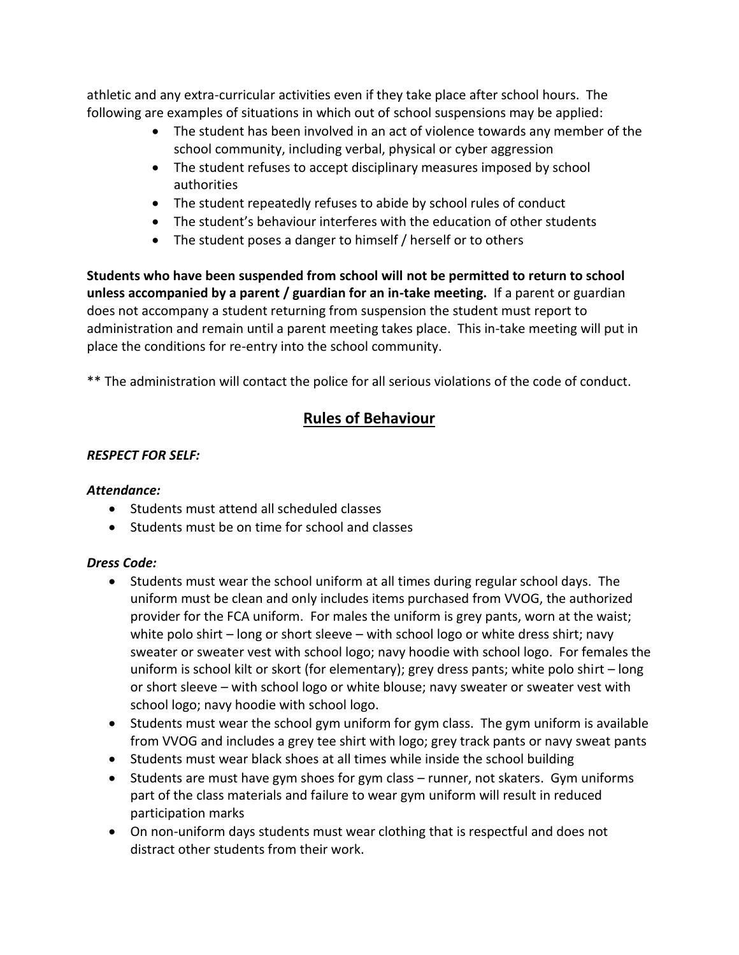athletic and any extra-curricular activities even if they take place after school hours. The following are examples of situations in which out of school suspensions may be applied:

- The student has been involved in an act of violence towards any member of the school community, including verbal, physical or cyber aggression
- The student refuses to accept disciplinary measures imposed by school authorities
- The student repeatedly refuses to abide by school rules of conduct
- The student's behaviour interferes with the education of other students
- The student poses a danger to himself / herself or to others

**Students who have been suspended from school will not be permitted to return to school unless accompanied by a parent / guardian for an in-take meeting.** If a parent or guardian does not accompany a student returning from suspension the student must report to administration and remain until a parent meeting takes place. This in-take meeting will put in place the conditions for re-entry into the school community.

\*\* The administration will contact the police for all serious violations of the code of conduct.

## **Rules of Behaviour**

## *RESPECT FOR SELF:*

#### *Attendance:*

- Students must attend all scheduled classes
- Students must be on time for school and classes

## *Dress Code:*

- Students must wear the school uniform at all times during regular school days. The uniform must be clean and only includes items purchased from VVOG, the authorized provider for the FCA uniform. For males the uniform is grey pants, worn at the waist; white polo shirt – long or short sleeve – with school logo or white dress shirt; navy sweater or sweater vest with school logo; navy hoodie with school logo. For females the uniform is school kilt or skort (for elementary); grey dress pants; white polo shirt – long or short sleeve – with school logo or white blouse; navy sweater or sweater vest with school logo; navy hoodie with school logo.
- Students must wear the school gym uniform for gym class. The gym uniform is available from VVOG and includes a grey tee shirt with logo; grey track pants or navy sweat pants
- Students must wear black shoes at all times while inside the school building
- Students are must have gym shoes for gym class runner, not skaters. Gym uniforms part of the class materials and failure to wear gym uniform will result in reduced participation marks
- On non-uniform days students must wear clothing that is respectful and does not distract other students from their work.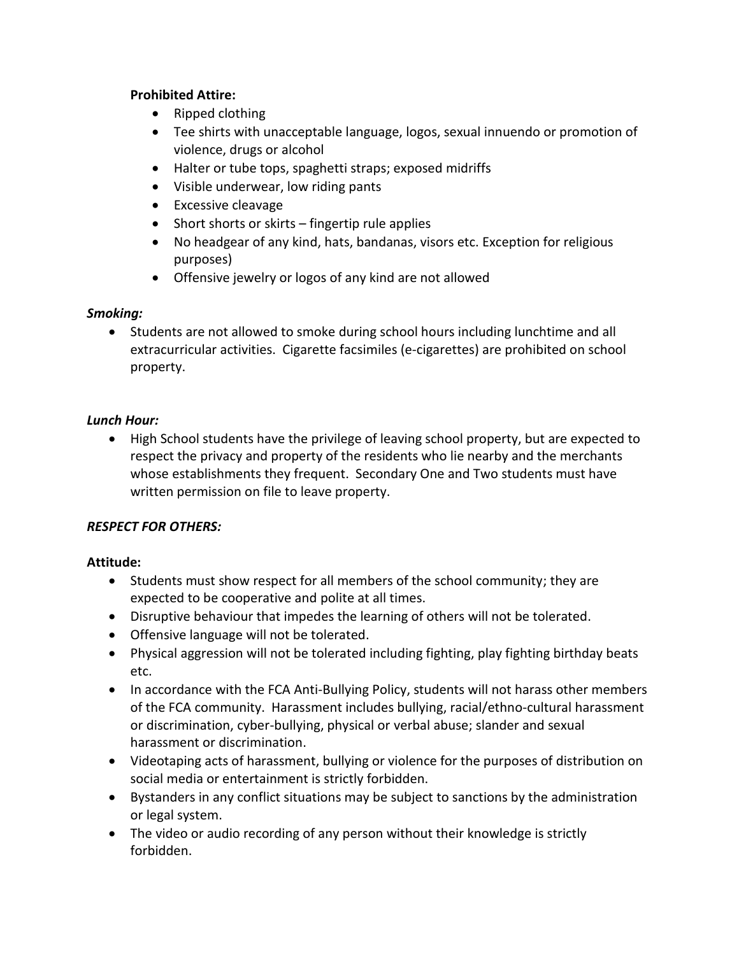#### **Prohibited Attire:**

- Ripped clothing
- Tee shirts with unacceptable language, logos, sexual innuendo or promotion of violence, drugs or alcohol
- Halter or tube tops, spaghetti straps; exposed midriffs
- Visible underwear, low riding pants
- Excessive cleavage
- Short shorts or skirts fingertip rule applies
- No headgear of any kind, hats, bandanas, visors etc. Exception for religious purposes)
- Offensive jewelry or logos of any kind are not allowed

#### *Smoking:*

• Students are not allowed to smoke during school hours including lunchtime and all extracurricular activities. Cigarette facsimiles (e-cigarettes) are prohibited on school property.

#### *Lunch Hour:*

 High School students have the privilege of leaving school property, but are expected to respect the privacy and property of the residents who lie nearby and the merchants whose establishments they frequent. Secondary One and Two students must have written permission on file to leave property.

#### *RESPECT FOR OTHERS:*

#### **Attitude:**

- Students must show respect for all members of the school community; they are expected to be cooperative and polite at all times.
- Disruptive behaviour that impedes the learning of others will not be tolerated.
- Offensive language will not be tolerated.
- Physical aggression will not be tolerated including fighting, play fighting birthday beats etc.
- In accordance with the FCA Anti-Bullying Policy, students will not harass other members of the FCA community. Harassment includes bullying, racial/ethno-cultural harassment or discrimination, cyber-bullying, physical or verbal abuse; slander and sexual harassment or discrimination.
- Videotaping acts of harassment, bullying or violence for the purposes of distribution on social media or entertainment is strictly forbidden.
- Bystanders in any conflict situations may be subject to sanctions by the administration or legal system.
- The video or audio recording of any person without their knowledge is strictly forbidden.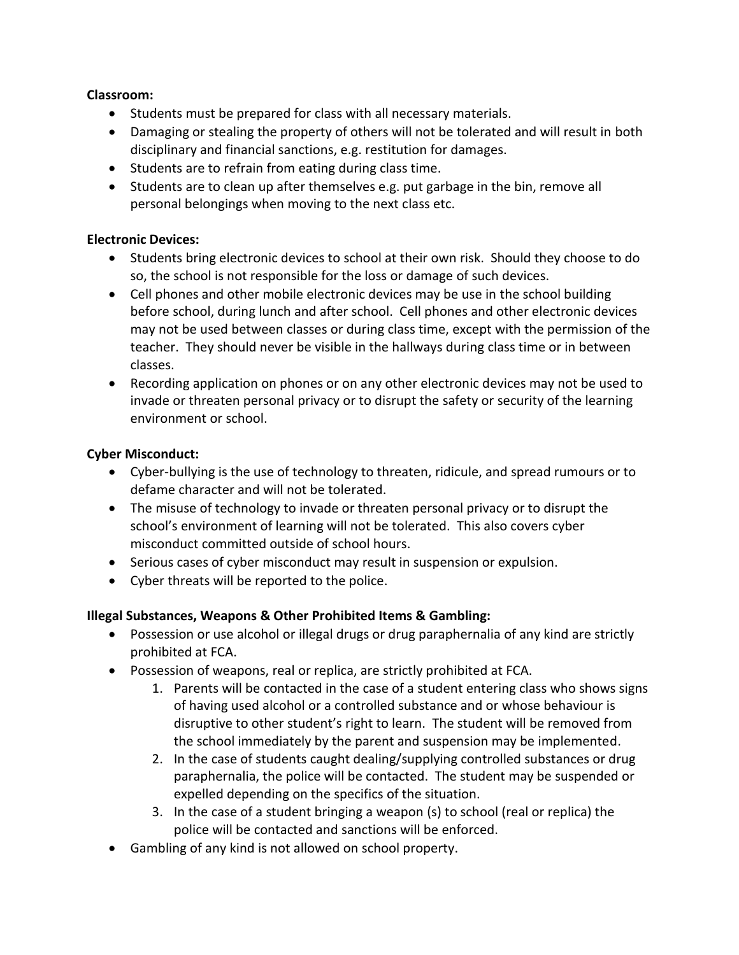#### **Classroom:**

- Students must be prepared for class with all necessary materials.
- Damaging or stealing the property of others will not be tolerated and will result in both disciplinary and financial sanctions, e.g. restitution for damages.
- Students are to refrain from eating during class time.
- Students are to clean up after themselves e.g. put garbage in the bin, remove all personal belongings when moving to the next class etc.

#### **Electronic Devices:**

- Students bring electronic devices to school at their own risk. Should they choose to do so, the school is not responsible for the loss or damage of such devices.
- Cell phones and other mobile electronic devices may be use in the school building before school, during lunch and after school. Cell phones and other electronic devices may not be used between classes or during class time, except with the permission of the teacher. They should never be visible in the hallways during class time or in between classes.
- Recording application on phones or on any other electronic devices may not be used to invade or threaten personal privacy or to disrupt the safety or security of the learning environment or school.

#### **Cyber Misconduct:**

- Cyber-bullying is the use of technology to threaten, ridicule, and spread rumours or to defame character and will not be tolerated.
- The misuse of technology to invade or threaten personal privacy or to disrupt the school's environment of learning will not be tolerated. This also covers cyber misconduct committed outside of school hours.
- Serious cases of cyber misconduct may result in suspension or expulsion.
- Cyber threats will be reported to the police.

#### **Illegal Substances, Weapons & Other Prohibited Items & Gambling:**

- Possession or use alcohol or illegal drugs or drug paraphernalia of any kind are strictly prohibited at FCA.
- Possession of weapons, real or replica, are strictly prohibited at FCA.
	- 1. Parents will be contacted in the case of a student entering class who shows signs of having used alcohol or a controlled substance and or whose behaviour is disruptive to other student's right to learn. The student will be removed from the school immediately by the parent and suspension may be implemented.
	- 2. In the case of students caught dealing/supplying controlled substances or drug paraphernalia, the police will be contacted. The student may be suspended or expelled depending on the specifics of the situation.
	- 3. In the case of a student bringing a weapon (s) to school (real or replica) the police will be contacted and sanctions will be enforced.
- Gambling of any kind is not allowed on school property.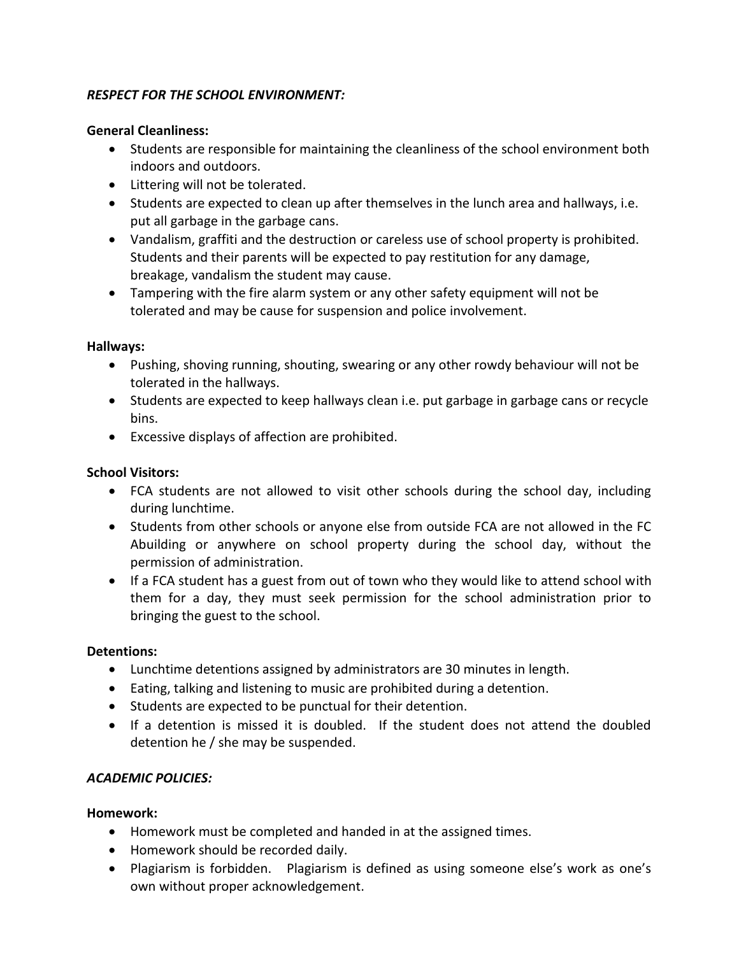#### *RESPECT FOR THE SCHOOL ENVIRONMENT:*

#### **General Cleanliness:**

- Students are responsible for maintaining the cleanliness of the school environment both indoors and outdoors.
- Littering will not be tolerated.
- Students are expected to clean up after themselves in the lunch area and hallways, i.e. put all garbage in the garbage cans.
- Vandalism, graffiti and the destruction or careless use of school property is prohibited. Students and their parents will be expected to pay restitution for any damage, breakage, vandalism the student may cause.
- Tampering with the fire alarm system or any other safety equipment will not be tolerated and may be cause for suspension and police involvement.

#### **Hallways:**

- Pushing, shoving running, shouting, swearing or any other rowdy behaviour will not be tolerated in the hallways.
- Students are expected to keep hallways clean i.e. put garbage in garbage cans or recycle bins.
- Excessive displays of affection are prohibited.

#### **School Visitors:**

- FCA students are not allowed to visit other schools during the school day, including during lunchtime.
- Students from other schools or anyone else from outside FCA are not allowed in the FC Abuilding or anywhere on school property during the school day, without the permission of administration.
- If a FCA student has a guest from out of town who they would like to attend school with them for a day, they must seek permission for the school administration prior to bringing the guest to the school.

#### **Detentions:**

- Lunchtime detentions assigned by administrators are 30 minutes in length.
- Eating, talking and listening to music are prohibited during a detention.
- Students are expected to be punctual for their detention.
- If a detention is missed it is doubled. If the student does not attend the doubled detention he / she may be suspended.

#### *ACADEMIC POLICIES:*

#### **Homework:**

- Homework must be completed and handed in at the assigned times.
- Homework should be recorded daily.
- Plagiarism is forbidden. Plagiarism is defined as using someone else's work as one's own without proper acknowledgement.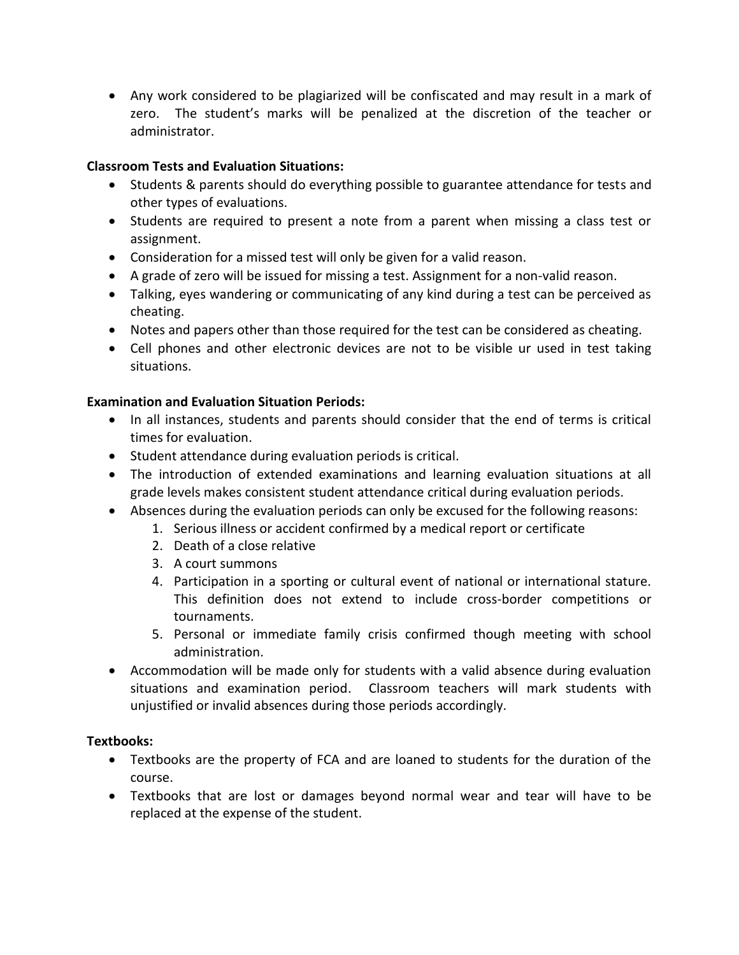Any work considered to be plagiarized will be confiscated and may result in a mark of zero. The student's marks will be penalized at the discretion of the teacher or administrator.

### **Classroom Tests and Evaluation Situations:**

- Students & parents should do everything possible to guarantee attendance for tests and other types of evaluations.
- Students are required to present a note from a parent when missing a class test or assignment.
- Consideration for a missed test will only be given for a valid reason.
- A grade of zero will be issued for missing a test. Assignment for a non-valid reason.
- Talking, eyes wandering or communicating of any kind during a test can be perceived as cheating.
- Notes and papers other than those required for the test can be considered as cheating.
- Cell phones and other electronic devices are not to be visible ur used in test taking situations.

## **Examination and Evaluation Situation Periods:**

- In all instances, students and parents should consider that the end of terms is critical times for evaluation.
- Student attendance during evaluation periods is critical.
- The introduction of extended examinations and learning evaluation situations at all grade levels makes consistent student attendance critical during evaluation periods.
- Absences during the evaluation periods can only be excused for the following reasons:
	- 1. Serious illness or accident confirmed by a medical report or certificate
	- 2. Death of a close relative
	- 3. A court summons
	- 4. Participation in a sporting or cultural event of national or international stature. This definition does not extend to include cross-border competitions or tournaments.
	- 5. Personal or immediate family crisis confirmed though meeting with school administration.
- Accommodation will be made only for students with a valid absence during evaluation situations and examination period. Classroom teachers will mark students with unjustified or invalid absences during those periods accordingly.

#### **Textbooks:**

- Textbooks are the property of FCA and are loaned to students for the duration of the course.
- Textbooks that are lost or damages beyond normal wear and tear will have to be replaced at the expense of the student.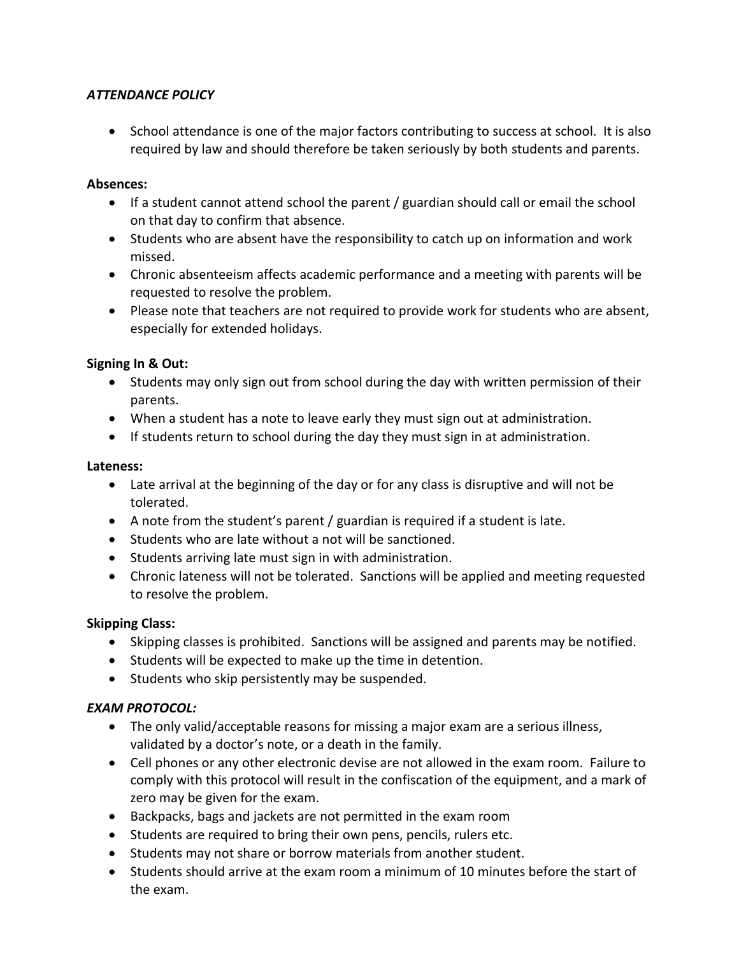#### *ATTENDANCE POLICY*

• School attendance is one of the major factors contributing to success at school. It is also required by law and should therefore be taken seriously by both students and parents.

#### **Absences:**

- If a student cannot attend school the parent / guardian should call or email the school on that day to confirm that absence.
- Students who are absent have the responsibility to catch up on information and work missed.
- Chronic absenteeism affects academic performance and a meeting with parents will be requested to resolve the problem.
- Please note that teachers are not required to provide work for students who are absent, especially for extended holidays.

#### **Signing In & Out:**

- Students may only sign out from school during the day with written permission of their parents.
- When a student has a note to leave early they must sign out at administration.
- If students return to school during the day they must sign in at administration.

#### **Lateness:**

- Late arrival at the beginning of the day or for any class is disruptive and will not be tolerated.
- A note from the student's parent / guardian is required if a student is late.
- Students who are late without a not will be sanctioned.
- Students arriving late must sign in with administration.
- Chronic lateness will not be tolerated. Sanctions will be applied and meeting requested to resolve the problem.

#### **Skipping Class:**

- Skipping classes is prohibited. Sanctions will be assigned and parents may be notified.
- Students will be expected to make up the time in detention.
- Students who skip persistently may be suspended.

#### *EXAM PROTOCOL:*

- The only valid/acceptable reasons for missing a major exam are a serious illness, validated by a doctor's note, or a death in the family.
- Cell phones or any other electronic devise are not allowed in the exam room. Failure to comply with this protocol will result in the confiscation of the equipment, and a mark of zero may be given for the exam.
- Backpacks, bags and jackets are not permitted in the exam room
- Students are required to bring their own pens, pencils, rulers etc.
- Students may not share or borrow materials from another student.
- Students should arrive at the exam room a minimum of 10 minutes before the start of the exam.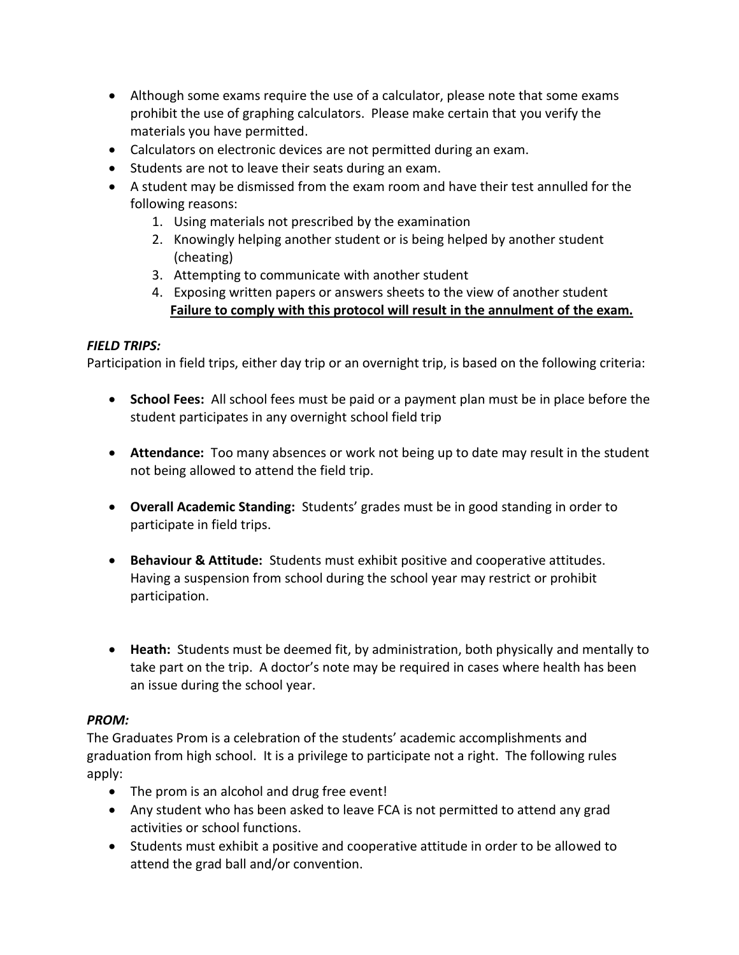- Although some exams require the use of a calculator, please note that some exams prohibit the use of graphing calculators. Please make certain that you verify the materials you have permitted.
- Calculators on electronic devices are not permitted during an exam.
- Students are not to leave their seats during an exam.
- A student may be dismissed from the exam room and have their test annulled for the following reasons:
	- 1. Using materials not prescribed by the examination
	- 2. Knowingly helping another student or is being helped by another student (cheating)
	- 3. Attempting to communicate with another student
	- 4. Exposing written papers or answers sheets to the view of another student **Failure to comply with this protocol will result in the annulment of the exam.**

## *FIELD TRIPS:*

Participation in field trips, either day trip or an overnight trip, is based on the following criteria:

- **School Fees:** All school fees must be paid or a payment plan must be in place before the student participates in any overnight school field trip
- **Attendance:** Too many absences or work not being up to date may result in the student not being allowed to attend the field trip.
- **Overall Academic Standing:** Students' grades must be in good standing in order to participate in field trips.
- **Behaviour & Attitude:** Students must exhibit positive and cooperative attitudes. Having a suspension from school during the school year may restrict or prohibit participation.
- **Heath:** Students must be deemed fit, by administration, both physically and mentally to take part on the trip. A doctor's note may be required in cases where health has been an issue during the school year.

#### *PROM:*

The Graduates Prom is a celebration of the students' academic accomplishments and graduation from high school. It is a privilege to participate not a right. The following rules apply:

- The prom is an alcohol and drug free event!
- Any student who has been asked to leave FCA is not permitted to attend any grad activities or school functions.
- Students must exhibit a positive and cooperative attitude in order to be allowed to attend the grad ball and/or convention.